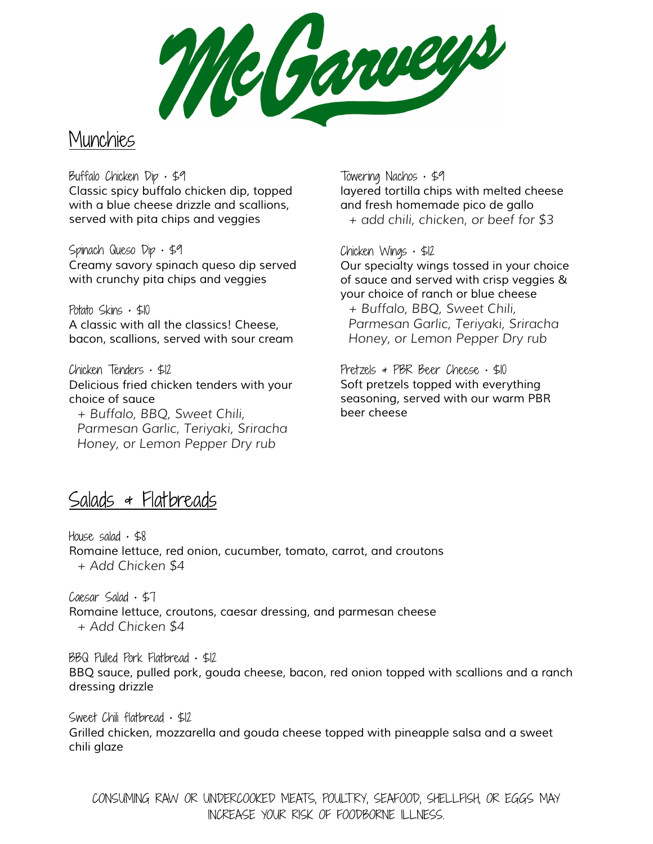Nebareep

## **Munchies**

Buffalo Chicken  $Dip \cdot $9$ *Classic spicy buffalo chicken dip, topped with a blue cheese drizzle and scallions, served with pita chips and veggies*

Spinach Queso  $Dip \cdot $9$ *Creamy savory spinach queso dip served with crunchy pita chips and veggies*

Potato Skins  $\cdot$  \$10 *A classic with all the classics! Cheese, bacon, scallions, served with sour cream*

Chicken Tenders • \$12 *Delicious fried chicken tenders with your choice of sauce + Buffalo, BBQ, Sweet Chili,*

*Parmesan Garlic, Teriyaki, Sriracha Honey, or Lemon Pepper Dry rub*

Towering Nachos • \$9 *layered tortilla chips with melted cheese and fresh homemade pico de gallo + add chili, chicken, or beef for \$3*

Chicken Wings • \$12 *Our specialty wings tossed in your choice of sauce and served with crisp veggies & your choice of ranch or blue cheese + Buffalo, BBQ, Sweet Chili, Parmesan Garlic, Teriyaki, Sriracha Honey, or Lemon Pepper Dry rub*

Pretzels & PBR Beer Cheese · \$10 *Soft pretzels topped with everything seasoning, served with our warm PBR beer cheese*

## Salads & Flatbreads

House salad  $\cdot$  \$8 *Romaine lettuce, red onion, cucumber, tomato, carrot, and croutons + Add Chicken \$4*

 $Caesar$  Salad  $·$  \$7 *Romaine lettuce, croutons, caesar dressing, and parmesan cheese + Add Chicken \$4*

BBQ Pulled Pork Flatbread • \$12 *BBQ sauce, pulled pork, gouda cheese, bacon, red onion topped with scallions and a ranch dressing drizzle*

Sweet Chili flatbread • \$12 *Grilled chicken, mozzarella and gouda cheese topped with pineapple salsa and a sweet chili glaze*

CONSUMING RAW OR UNDERCOOKED MEATS, POULTRY, SEAFOOD, SHELLFISH, OR EGGS MAY INCREASE YOUR RISK OF FOODBORNE ILLNESS.